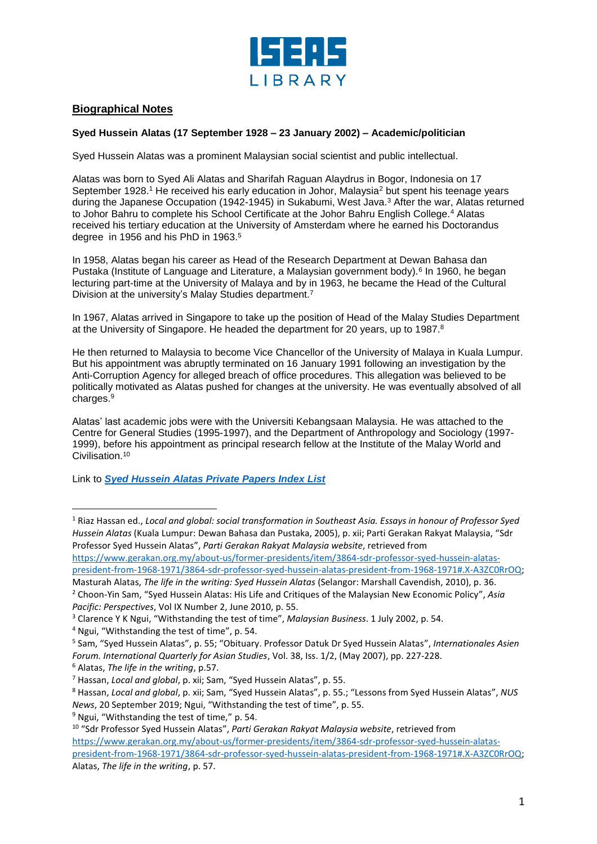

## **Biographical Notes**

## **Syed Hussein Alatas (17 September 1928 – 23 January 2002) – Academic/politician**

Syed Hussein Alatas was a prominent Malaysian social scientist and public intellectual.

Alatas was born to Syed Ali Alatas and Sharifah Raguan Alaydrus in Bogor, Indonesia on 17 September 1928.<sup>1</sup> He received his early education in Johor, Malaysia<sup>2</sup> but spent his teenage years during the Japanese Occupation (1942-1945) in Sukabumi, West Java.<sup>3</sup> After the war, Alatas returned to Johor Bahru to complete his School Certificate at the Johor Bahru English College.<sup>4</sup> Alatas received his tertiary education at the University of Amsterdam where he earned his Doctorandus degree in 1956 and his PhD in 1963. 5

In 1958, Alatas began his career as Head of the Research Department at Dewan Bahasa dan Pustaka (Institute of Language and Literature, a Malaysian government body).<sup>6</sup> In 1960, he began lecturing part-time at the University of Malaya and by in 1963, he became the Head of the Cultural Division at the university's Malay Studies department.<sup>7</sup>

In 1967, Alatas arrived in Singapore to take up the position of Head of the Malay Studies Department at the University of Singapore. He headed the department for 20 years, up to 1987.<sup>8</sup>

He then returned to Malaysia to become Vice Chancellor of the University of Malaya in Kuala Lumpur. But his appointment was abruptly terminated on 16 January 1991 following an investigation by the Anti-Corruption Agency for alleged breach of office procedures. This allegation was believed to be politically motivated as Alatas pushed for changes at the university. He was eventually absolved of all charges. 9

Alatas' last academic jobs were with the Universiti Kebangsaan Malaysia. He was attached to the Centre for General Studies (1995-1997), and the Department of Anthropology and Sociology (1997- 1999), before his appointment as principal research fellow at the Institute of the Malay World and Civilisation. 10

Link to *[Syed Hussein Alatas Private Papers Index List](https://www.iseas.edu.sg/wp-content/uploads/2021/10/SHA-Index.pdf)*

[https://www.gerakan.org.my/about-us/former-presidents/item/3864-sdr-professor-syed-hussein-alatas](https://www.gerakan.org.my/about-us/former-presidents/item/3864-sdr-professor-syed-hussein-alatas-president-from-1968-1971/3864-sdr-professor-syed-hussein-alatas-president-from-1968-1971#.X-A3ZC0RrOQ)[president-from-1968-1971/3864-sdr-professor-syed-hussein-alatas-president-from-1968-1971#.X-A3ZC0RrOQ;](https://www.gerakan.org.my/about-us/former-presidents/item/3864-sdr-professor-syed-hussein-alatas-president-from-1968-1971/3864-sdr-professor-syed-hussein-alatas-president-from-1968-1971#.X-A3ZC0RrOQ)

Masturah Alatas, *The life in the writing: Syed Hussein Alatas* (Selangor: Marshall Cavendish, 2010), p. 36. <sup>2</sup> Choon-Yin Sam, "Syed Hussein Alatas: His Life and Critiques of the Malaysian New Economic Policy", *Asia Pacific: Perspectives*, Vol IX Number 2, June 2010, p. 55.

<sup>4</sup> Ngui, "Withstanding the test of time", p. 54.

l

<sup>1</sup> Riaz Hassan ed., *Local and global: social transformation in Southeast Asia. Essays in honour of Professor Syed Hussein Alatas* (Kuala Lumpur: Dewan Bahasa dan Pustaka, 2005), p. xii; Parti Gerakan Rakyat Malaysia, "Sdr Professor Syed Hussein Alatas", *Parti Gerakan Rakyat Malaysia website*, retrieved from

<sup>3</sup> Clarence Y K Ngui, "Withstanding the test of time", *Malaysian Business*. 1 July 2002, p. 54.

<sup>5</sup> Sam, "Syed Hussein Alatas", p. 55; "Obituary. Professor Datuk Dr Syed Hussein Alatas", *Internationales Asien Forum. International Quarterly for Asian Studies*, Vol. 38, Iss. 1/2, (May 2007), pp. 227-228. <sup>6</sup> Alatas, *The life in the writing*, p.57.

<sup>7</sup> Hassan, *Local and global*, p. xii; Sam, "Syed Hussein Alatas", p. 55.

<sup>8</sup> Hassan, *Local and global*, p. xii; Sam, "Syed Hussein Alatas", p. 55.; "Lessons from Syed Hussein Alatas", *NUS News*, 20 September 2019; Ngui, "Withstanding the test of time", p. 55.

 $9$  Ngui, "Withstanding the test of time," p. 54.

<sup>10</sup> "Sdr Professor Syed Hussein Alatas", *Parti Gerakan Rakyat Malaysia website*, retrieved from [https://www.gerakan.org.my/about-us/former-presidents/item/3864-sdr-professor-syed-hussein-alatas](https://www.gerakan.org.my/about-us/former-presidents/item/3864-sdr-professor-syed-hussein-alatas-president-from-1968-1971/3864-sdr-professor-syed-hussein-alatas-president-from-1968-1971#.X-A3ZC0RrOQ)[president-from-1968-1971/3864-sdr-professor-syed-hussein-alatas-president-from-1968-1971#.X-A3ZC0RrOQ;](https://www.gerakan.org.my/about-us/former-presidents/item/3864-sdr-professor-syed-hussein-alatas-president-from-1968-1971/3864-sdr-professor-syed-hussein-alatas-president-from-1968-1971#.X-A3ZC0RrOQ) Alatas, *The life in the writing*, p. 57.